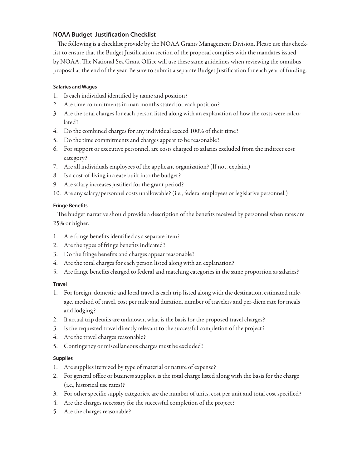# **NOAA Budget Justification Checklist**

The following is a checklist provide by the NOAA Grants Management Division. Please use this checklist to ensure that the Budget Justification section of the proposal complies with the mandates issued by NOAA. The National Sea Grant Office will use these same guidelines when reviewing the omnibus proposal at the end of the year. Be sure to submit a separate Budget Justification for each year of funding.

### **Salaries and Wages**

- 1. Is each individual identified by name and position?
- 2. Are time commitments in man months stated for each position?
- 3. Are the total charges for each person listed along with an explanation of how the costs were calculated?
- 4. Do the combined charges for any individual exceed 100% of their time?
- 5. Do the time commitments and charges appear to be reasonable?
- 6. For support or executive personnel, are costs charged to salaries excluded from the indirect cost category?
- 7. Are all individuals employees of the applicant organization? (If not, explain.)
- 8. Is a cost-of-living increase built into the budget?
- 9. Are salary increases justified for the grant period?
- 10. Are any salary/personnel costs unallowable? (i.e., federal employees or legislative personnel.)

#### **Fringe Benefits**

The budget narrative should provide a description of the benefits received by personnel when rates are 25% or higher.

- 1. Are fringe benefits identified as a separate item?
- 2. Are the types of fringe benefits indicated?
- 3. Do the fringe benefits and charges appear reasonable?
- 4. Are the total charges for each person listed along with an explanation?
- 5. Are fringe benefits charged to federal and matching categories in the same proportion as salaries?

### **Travel**

- 1. For foreign, domestic and local travel is each trip listed along with the destination, estimated mileage, method of travel, cost per mile and duration, number of travelers and per-diem rate for meals and lodging?
- 2. If actual trip details are unknown, what is the basis for the proposed travel charges?
- 3. Is the requested travel directly relevant to the successful completion of the project?
- 4. Are the travel charges reasonable?
- 5. Contingency or miscellaneous charges must be excluded!

### **Supplies**

- 1. Are supplies itemized by type of material or nature of expense?
- 2. For general office or business supplies, is the total charge listed along with the basis for the charge (i.e., historical use rates)?
- 3. For other specific supply categories, are the number of units, cost per unit and total cost specified?
- 4. Are the charges necessary for the successful completion of the project?
- 5. Are the charges reasonable?